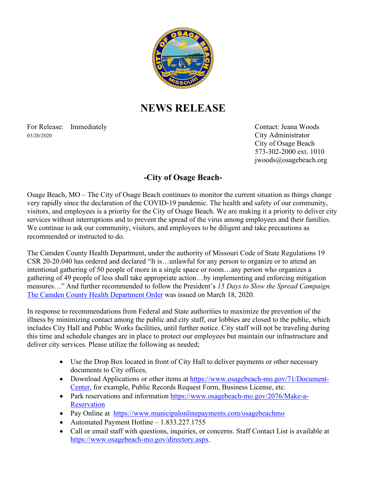

## **NEWS RELEASE**

For Release: Immediately Contact: Jeana Woods 03/20/2020 City Administrator

City of Osage Beach 573-302-2000 ext. 1010 jwoods@osagebeach.org

## **-City of Osage Beach-**

Osage Beach, MO – The City of Osage Beach continues to monitor the current situation as things change very rapidly since the declaration of the COVID-19 pandemic. The health and safety of our community, visitors, and employees is a priority for the City of Osage Beach. We are making it a priority to deliver city services without interruptions and to prevent the spread of the virus among employees and their families. We continue to ask our community, visitors, and employees to be diligent and take precautions as recommended or instructed to do.

The Camden County Health Department, under the authority of Missouri Code of State Regulations 19 CSR 20-20.040 has ordered and declared "It is…unlawful for any person to organize or to attend an intentional gathering of 50 people of more in a single space or room…any person who organizes a gathering of 49 people of less shall take appropriate action…by implementing and enforcing mitigation measures…" And further recommended to follow the President's *15 Days to Slow the Spread Campaign.* The Camden County Health Department Order was issued on March 18, 2020.

In response to recommendations from Federal and State authorities to maximize the prevention of the illness by minimizing contact among the public and city staff, our lobbies are closed to the public, which includes City Hall and Public Works facilities, until further notice. City staff will not be traveling during this time and schedule changes are in place to protect our employees but maintain our infrastructure and deliver city services. Please utilize the following as needed;

- Use the Drop Box located in front of City Hall to deliver payments or other necessary documents to City offices,
- Download Applications or other items at [https://www.osagebeach-mo.gov/71/Document-](https://www.osagebeach-mo.gov/71/Document-Center)[Center,](https://www.osagebeach-mo.gov/71/Document-Center) for example, Public Records Request Form, Business License, etc.
- Park reservations and information [https://www.osagebeach-mo.gov/2076/Make-a-](https://www.osagebeach-mo.gov/2076/Make-a-Reservation)**[Reservation](https://www.osagebeach-mo.gov/2076/Make-a-Reservation)**
- Pay Online at <https://www.municipalonlinepayments.com/osagebeachmo>
- Automated Payment Hotline 1.833.227.1755
- Call or email staff with questions, inquiries, or concerns. Staff Contact List is available at [https://www.osagebeach-mo.gov/directory.aspx.](https://www.osagebeach-mo.gov/directory.aspx)